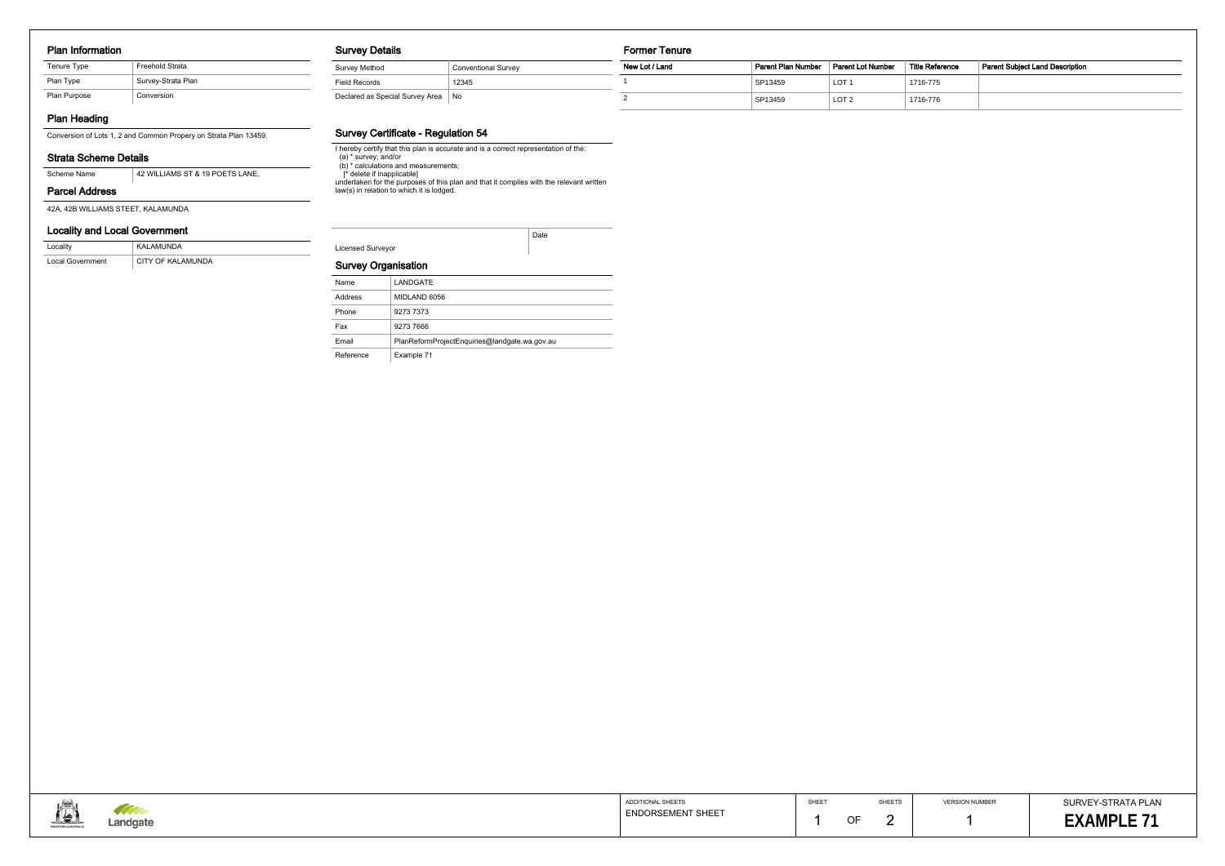### Plan Information

| Tenure Type  | <b>Freehold Strata</b> |
|--------------|------------------------|
| Plan Type    | Survey-Strata Plan     |
| Plan Purpose | Conversion             |

# Plan Heading

Conversion of Lots 1, 2 and Common Propery on Strata Plan 13459.

## Strata Scheme Details

### Parcel Address

42A, 42B WILLIAMS STEET, KALAMUNDA

# Locality and Local Government

| Locality         | KALAMUNDA         |
|------------------|-------------------|
| Local Government | CITY OF KALAMUNDA |

### Survey Details

| Survey Method                   | <b>Conventional Survey</b> |
|---------------------------------|----------------------------|
| Field Records                   | 12345                      |
| Declared as Special Survey Area | No                         |

### Survey Certificate - Regulation 54

I hereby certify that this plan is accurate and is a correct representation of the: (a) \* survey; and/or (b) \* calculations and measurements;

> SURVEY-STRATA PLAN EXAMPLE 71

[\* delete if inapplicable]

undertaken for the purposes of this plan and that it complies with the relevant written

law(s) in relation to which it is lodged.

Licensed Surveyor

Date

# Survey Organisation

| Name      | LANDGATE                                      |
|-----------|-----------------------------------------------|
| Address   | MIDLAND 6056                                  |
| Phone     | 9273 7373                                     |
| Fax       | 9273 7666                                     |
| Email     | PlanReformProjectEnguiries@landgate.wa.gov.au |
| Reference | Example 71                                    |



#### Former Tenure

| <b>Conventional Survey</b> | New Lot / Land | Parent Plan Number | Parent Lot Number | Title Reference | <b>Parent Subject Land Description</b> |
|----------------------------|----------------|--------------------|-------------------|-----------------|----------------------------------------|
| 12345                      |                | SP13459            | LOT <sup>-</sup>  | 1716-775        |                                        |
| ea INo                     |                | SP13459            | LOT <sub>2</sub>  | 1716-776        |                                        |

| ADDITIONAL SHEETS        | SHEET |
|--------------------------|-------|
| <b>ENDORSEMENT SHEET</b> |       |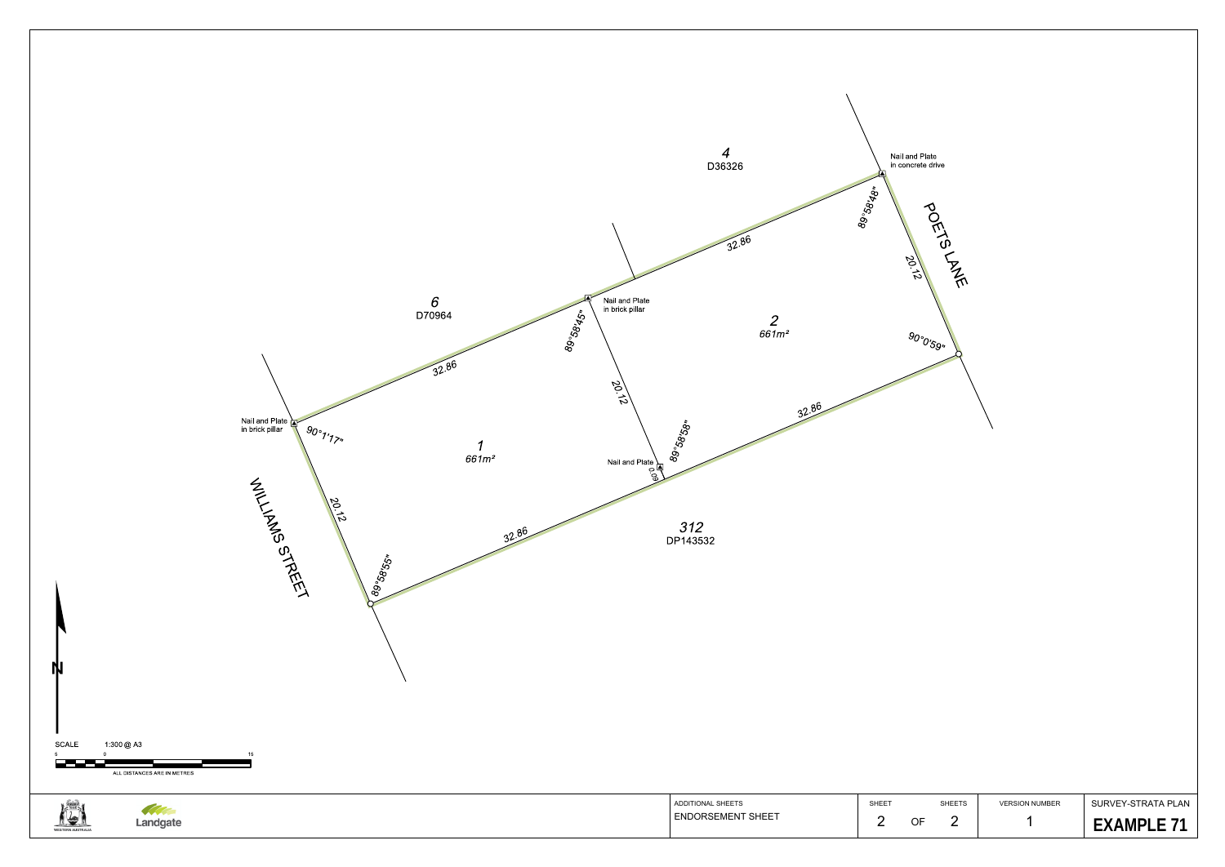

1

**EXAMPLE 71** 

VERSION NUMBERSURVEY-STRATA PLAN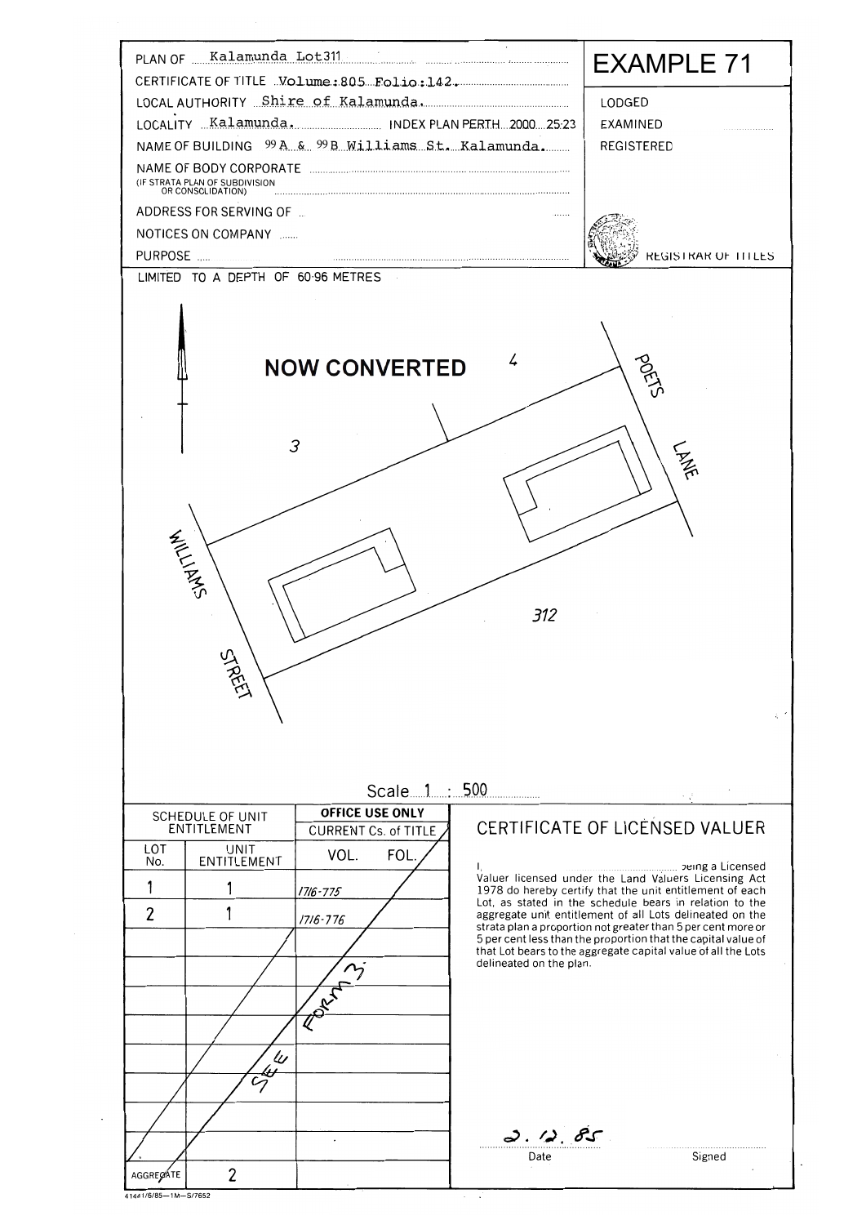